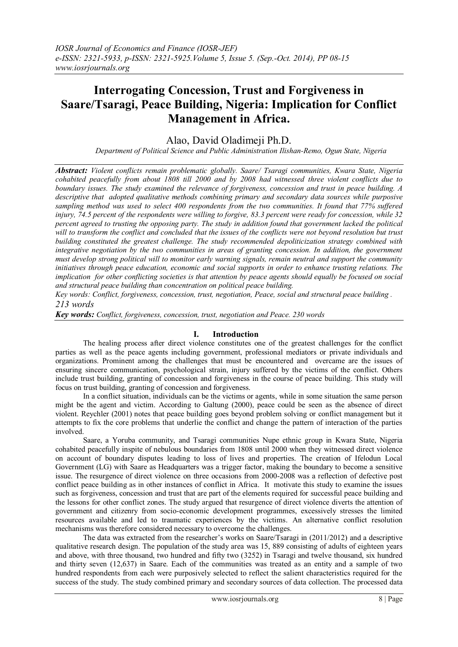# **Interrogating Concession, Trust and Forgiveness in Saare/Tsaragi, Peace Building, Nigeria: Implication for Conflict Management in Africa.**

Alao, David Oladimeji Ph.D.

*Department of Political Science and Public Administration Ilishan-Remo, Ogun State, Nigeria*

*Abstract: Violent conflicts remain problematic globally. Saare/ Tsaragi communities, Kwara State, Nigeria cohabited peacefully from about 1808 till 2000 and by 2008 had witnessed three violent conflicts due to boundary issues. The study examined the relevance of forgiveness, concession and trust in peace building. A descriptive that adopted qualitative methods combining primary and secondary data sources while purposive sampling method was used to select 400 respondents from the two communities. It found that 77% suffered injury, 74.5 percent of the respondents were willing to forgive, 83.3 percent were ready for concession, while 32 percent agreed to trusting the opposing party. The study in addition found that government lacked the political will to transform the conflict and concluded that the issues of the conflicts were not beyond resolution but trust building constituted the greatest challenge. The study recommended depoliticization strategy combined with integrative negotiation by the two communities in areas of granting concession. In addition, the government must develop strong political will to monitor early warning signals, remain neutral and support the community initiatives through peace education, economic and social supports in order to enhance trusting relations. The implication for other conflicting societies is that attention by peace agents should equally be focused on social and structural peace building than concentration on political peace building.*

*Key words: Conflict, forgiveness, concession, trust, negotiation, Peace, social and structural peace building . 213 words*

*Key words: Conflict, forgiveness, concession, trust, negotiation and Peace. 230 words*

# **I. Introduction**

The healing process after direct violence constitutes one of the greatest challenges for the conflict parties as well as the peace agents including government, professional mediators or private individuals and organizations. Prominent among the challenges that must be encountered and overcame are the issues of ensuring sincere communication, psychological strain, injury suffered by the victims of the conflict. Others include trust building, granting of concession and forgiveness in the course of peace building. This study will focus on trust building, granting of concession and forgiveness.

In a conflict situation, individuals can be the victims or agents, while in some situation the same person might be the agent and victim. According to Galtung (2000), peace could be seen as the absence of direct violent. Reychler (2001) notes that peace building goes beyond problem solving or conflict management but it attempts to fix the core problems that underlie the conflict and change the pattern of interaction of the parties involved.

Saare, a Yoruba community, and Tsaragi communities Nupe ethnic group in Kwara State, Nigeria cohabited peacefully inspite of nebulous boundaries from 1808 until 2000 when they witnessed direct violence on account of boundary disputes leading to loss of lives and properties. The creation of Ifelodun Local Government (LG) with Saare as Headquarters was a trigger factor, making the boundary to become a sensitive issue. The resurgence of direct violence on three occasions from 2000-2008 was a reflection of defective post conflict peace building as in other instances of conflict in Africa. It motivate this study to examine the issues such as forgiveness, concession and trust that are part of the elements required for successful peace building and the lessons for other conflict zones. The study argued that resurgence of direct violence diverts the attention of government and citizenry from socio-economic development programmes, excessively stresses the limited resources available and led to traumatic experiences by the victims. An alternative conflict resolution mechanisms was therefore considered necessary to overcome the challenges.

The data was extracted from the researcher"s works on Saare/Tsaragi in (2011/2012) and a descriptive qualitative research design. The population of the study area was 15, 889 consisting of adults of eighteen years and above, with three thousand, two hundred and fifty two (3252) in Tsaragi and twelve thousand, six hundred and thirty seven (12,637) in Saare. Each of the communities was treated as an entity and a sample of two hundred respondents from each were purposively selected to reflect the salient characteristics required for the success of the study. The study combined primary and secondary sources of data collection. The processed data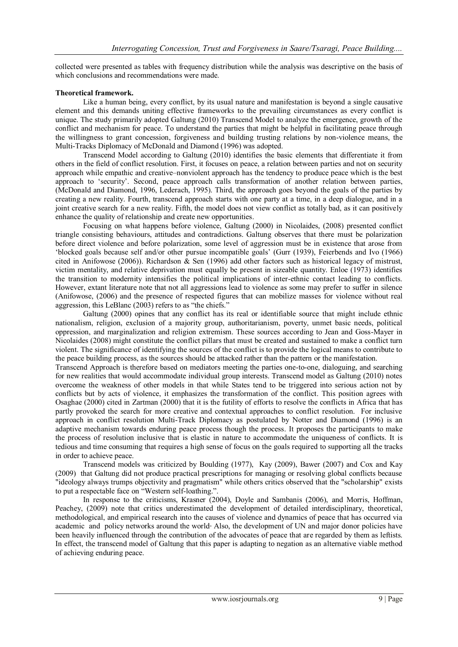collected were presented as tables with frequency distribution while the analysis was descriptive on the basis of which conclusions and recommendations were made.

## **Theoretical framework.**

Like a human being, every conflict, by its usual nature and manifestation is beyond a single causative element and this demands uniting effective frameworks to the prevailing circumstances as every conflict is unique. The study primarily adopted Galtung (2010) Transcend Model to analyze the emergence, growth of the conflict and mechanism for peace. To understand the parties that might be helpful in facilitating peace through the willingness to grant concession, forgiveness and building trusting relations by non-violence means, the Multi-Tracks Diplomacy of McDonald and Diamond (1996) was adopted.

Transcend Model according to Galtung (2010) identifies the basic elements that differentiate it from others in the field of conflict resolution. First, it focuses on peace, a relation between parties and not on security approach while empathic and creative–nonviolent approach has the tendency to produce peace which is the best approach to "security". Second, peace approach calls transformation of another relation between parties, (McDonald and Diamond, 1996, Lederach, 1995). Third, the approach goes beyond the goals of the parties by creating a new reality. Fourth, transcend approach starts with one party at a time, in a deep dialogue, and in a joint creative search for a new reality. Fifth, the model does not view conflict as totally bad, as it can positively enhance the quality of relationship and create new opportunities.

Focusing on what happens before violence, Galtung (2000) in Nicolaides, (2008) presented conflict triangle consisting behaviours, attitudes and contradictions. Galtung observes that there must be polarization before direct violence and before polarization, some level of aggression must be in existence that arose from "blocked goals because self and/or other pursue incompatible goals" (Gurr (1939), Feierbends and Ivo (1966) cited in Anifowose (2006)). Richardson & Sen (1996) add other factors such as historical legacy of mistrust, victim mentality, and relative deprivation must equally be present in sizeable quantity. Enloe (1973) identifies the transition to modernity intensifies the political implications of inter-ethnic contact leading to conflicts. However, extant literature note that not all aggressions lead to violence as some may prefer to suffer in silence (Anifowose, (2006) and the presence of respected figures that can mobilize masses for violence without real aggression, this LeBlanc (2003) refers to as "the chiefs."

Galtung (2000) opines that any conflict has its real or identifiable source that might include ethnic nationalism, religion, exclusion of a majority group, authoritarianism, poverty, unmet basic needs, political oppression, and marginalization and religion extremism. These sources according to Jean and Goss-Mayer in Nicolaides (2008) might constitute the conflict pillars that must be created and sustained to make a conflict turn violent. The significance of identifying the sources of the conflict is to provide the logical means to contribute to the peace building process, as the sources should be attacked rather than the pattern or the manifestation.

Transcend Approach is therefore based on mediators meeting the parties one-to-one, dialoguing, and searching for new realities that would accommodate individual group interests. Transcend model as Galtung (2010) notes overcome the weakness of other models in that while States tend to be triggered into serious action not by conflicts but by acts of violence, it emphasizes the transformation of the conflict. This position agrees with Osaghae (2000) cited in Zartman (2000) that it is the futility of efforts to resolve the conflicts in Africa that has partly provoked the search for more creative and contextual approaches to conflict resolution. For inclusive approach in conflict resolution Multi-Track Diplomacy as postulated by Notter and Diamond (1996) is an adaptive mechanism towards enduring peace process though the process. It proposes the participants to make the process of resolution inclusive that is elastic in nature to accommodate the uniqueness of conflicts. It is tedious and time consuming that requires a high sense of focus on the goals required to supporting all the tracks in order to achieve peace.

Transcend models was criticized by Boulding (1977), Kay (2009), Bawer (2007) and [Cox](http://en.wikipedia.org/wiki/Caroline_Cox) and Kay (2009) that Galtung did not produce practical prescriptions for managing or resolving global conflicts because "ideology always trumps objectivity and pragmatism" while others critics observed that the "scholarship" exists to put a respectable face on "Western self-loathing.".

In response to the criticisms, Krasner (2004), Doyle and Sambanis (2006), and Morris, Hoffman, Peachey, (2009) note that critics underestimated the development of detailed interdisciplinary, theoretical, methodological, and empirical research into the causes of violence and dynamics of peace that has occurred via academic and policy networks around the world Also, the development of UN and major donor policies have been heavily influenced through the contribution of the advocates of peace that are regarded by them as leftists. In effect, the transcend model of Galtung that this paper is adapting to negation as an alternative viable method of achieving enduring peace.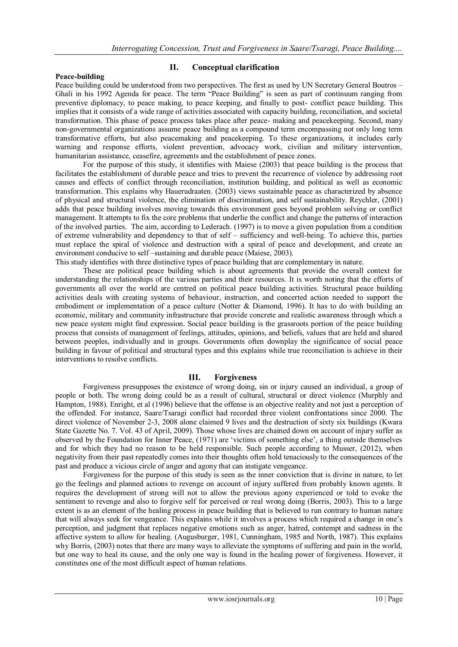## **Peace-building**

# **II. Conceptual clarification**

Peace building could be understood from two perspectives. The first as used by UN Secretary General Boutros – Ghali in his 1992 Agenda for peace. The term "Peace Building" is seen as part of continuum ranging from preventive diplomacy, to peace making, to peace keeping, and finally to post- conflict peace building. This implies that it consists of a wide range of activities associated with capacity building, reconciliation, and societal transformation. This phase of peace process takes place after peace- making and peacekeeping. Second, many non-governmental organizations assume peace building as a compound term encompassing not only long term transformative efforts, but also peacemaking and peacekeeping. To these organizations, it includes early warning and response efforts, violent prevention, advocacy work, civilian and military intervention, humanitarian assistance, ceasefire, agreements and the establishment of peace zones.

For the purpose of this study, it identifies with Maiese (2003) that peace building is the process that facilitates the establishment of durable peace and tries to prevent the recurrence of violence by addressing root causes and effects of conflict through reconciliation, institution building, and political as well as economic transformation. This explains why Hauerudraaten. (2003) views sustainable peace as characterized by absence of physical and structural violence, the elimination of discrimination, and self sustainability. Reychler, (2001) adds that peace building involves moving towards this environment goes beyond problem solving or conflict management. It attempts to fix the core problems that underlie the conflict and change the patterns of interaction of the involved parties. The aim, according to Lederach. (1997) is to move a given population from a condition of extreme vulnerability and dependency to that of self – sufficiency and well-being. To achieve this, parties must replace the spiral of violence and destruction with a spiral of peace and development, and create an environment conducive to self –sustaining and durable peace (Maiese, 2003). This study identifies with three distinctive types of peace building that are complementary in nature.

These are political peace building which is about agreements that provide the overall context for understanding the relationships of the various parties and their resources. It is worth noting that the efforts of governments all over the world are centred on political peace building activities. Structural peace building activities deals with creating systems of behaviour, instruction, and concerted action needed to support the embodiment or implementation of a peace culture (Notter & Diamond, 1996). It has to do with building an economic, military and community infrastructure that provide concrete and realistic awareness through which a new peace system might find expression. Social peace building is the grassroots portion of the peace building process that consists of management of feelings, attitudes, opinions, and beliefs, values that are held and shared between peoples, individually and in groups. Governments often downplay the significance of social peace building in favour of political and structural types and this explains while true reconciliation is achieve in their interventions to resolve conflicts.

#### **III. Forgiveness**

Forgiveness presupposes the existence of wrong doing, sin or injury caused an individual, a group of people or both. The wrong doing could be as a result of cultural, structural or direct violence (Murphly and Hampton, 1988). Enright, et al (1996) believe that the offense is an objective reality and not just a perception of the offended. For instance, Saare/Tsaragi conflict had recorded three violent confrontations since 2000. The direct violence of November 2-3, 2008 alone claimed 9 lives and the destruction of sixty six buildings (Kwara State Gazette No. 7. Vol. 43 of April, 2009). Those whose lives are chained down on account of injury suffer as observed by the Foundation for Inner Peace, (1971) are "victims of something else", a thing outside themselves and for which they had no reason to be held responsible. Such people according to Musser, (2012), when negativity from their past repeatedly comes into their thoughts often hold tenaciously to the consequences of the past and produce a vicious circle of anger and agony that can instigate vengeance.

Forgiveness for the purpose of this study is seen as the inner conviction that is divine in nature, to let go the feelings and planned actions to revenge on account of injury suffered from probably known agents. It requires the development of strong will not to allow the previous agony experienced or told to evoke the sentiment to revenge and also to forgive self for perceived or real wrong doing (Borris, 2003). This to a large extent is as an element of the healing process in peace building that is believed to run contrary to human nature that will always seek for vengeance. This explains while it involves a process which required a change in one"s perception, and judgment that replaces negative emotions such as anger, hatred, contempt and sadness in the affective system to allow for healing. (Augusburger, 1981, Cunningham, 1985 and North, 1987). This explains why Borris, (2003) notes that there are many ways to alleviate the symptoms of suffering and pain in the world, but one way to heal its cause, and the only one way is found in the healing power of forgiveness. However, it constitutes one of the most difficult aspect of human relations.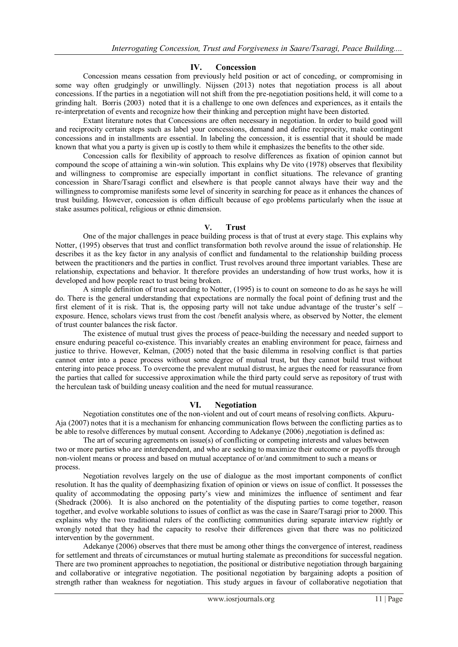## **IV. Concession**

Concession means cessation from previously held position or act of conceding, or compromising in some way often grudgingly or unwillingly. Nijssen (2013) notes that negotiation process is all about concessions. If the parties in a negotiation will not shift from the pre-negotiation positions held, it will come to a grinding halt. Borris (2003) noted that it is a challenge to one own defences and experiences, as it entails the re-interpretation of events and recognize how their thinking and perception might have been distorted.

Extant literature notes that Concessions are often necessary in negotiation. In order to build good will and reciprocity certain steps such as label your concessions, demand and define reciprocity, make contingent concessions and in installments are essential. In labeling the concession, it is essential that it should be made known that what you a party is given up is costly to them while it emphasizes the benefits to the other side.

Concession calls for flexibility of approach to resolve differences as fixation of opinion cannot but compound the scope of attaining a win-win solution. This explains why De vito (1978) observes that flexibility and willingness to compromise are especially important in conflict situations. The relevance of granting concession in Share/Tsaragi conflict and elsewhere is that people cannot always have their way and the willingness to compromise manifests some level of sincerity in searching for peace as it enhances the chances of trust building. However, concession is often difficult because of ego problems particularly when the issue at stake assumes political, religious or ethnic dimension.

#### **V. Trust**

One of the major challenges in peace building process is that of trust at every stage. This explains why Notter, (1995) observes that trust and conflict transformation both revolve around the issue of relationship. He describes it as the key factor in any analysis of conflict and fundamental to the relationship building process between the practitioners and the parties in conflict. Trust revolves around three important variables. These are relationship, expectations and behavior. It therefore provides an understanding of how trust works, how it is developed and how people react to trust being broken.

A simple definition of trust according to Notter, (1995) is to count on someone to do as he says he will do. There is the general understanding that expectations are normally the focal point of defining trust and the first element of it is risk. That is, the opposing party will not take undue advantage of the truster's self – exposure. Hence, scholars views trust from the cost /benefit analysis where, as observed by Notter, the element of trust counter balances the risk factor.

The existence of mutual trust gives the process of peace-building the necessary and needed support to ensure enduring peaceful co-existence. This invariably creates an enabling environment for peace, fairness and justice to thrive. However, Kelman, (2005) noted that the basic dilemma in resolving conflict is that parties cannot enter into a peace process without some degree of mutual trust, but they cannot build trust without entering into peace process. To overcome the prevalent mutual distrust, he argues the need for reassurance from the parties that called for successive approximation while the third party could serve as repository of trust with the herculean task of building uneasy coalition and the need for mutual reassurance.

# **VI. Negotiation**

Negotiation constitutes one of the non-violent and out of court means of resolving conflicts. Akpuru-Aja (2007) notes that it is a mechanism for enhancing communication flows between the conflicting parties as to be able to resolve differences by mutual consent. According to Adekanye (2006) ,negotiation is defined as:

The art of securing agreements on issue(s) of conflicting or competing interests and values between two or more parties who are interdependent, and who are seeking to maximize their outcome or payoffs through non-violent means or process and based on mutual acceptance of or/and commitment to such a means or process.

Negotiation revolves largely on the use of dialogue as the most important components of conflict resolution. It has the quality of deemphasizing fixation of opinion or views on issue of conflict. It possesses the quality of accommodating the opposing party"s view and minimizes the influence of sentiment and fear (Shedrack (2006). It is also anchored on the potentiality of the disputing parties to come together, reason together, and evolve workable solutions to issues of conflict as was the case in Saare/Tsaragi prior to 2000. This explains why the two traditional rulers of the conflicting communities during separate interview rightly or wrongly noted that they had the capacity to resolve their differences given that there was no politicized intervention by the government.

Adekanye (2006) observes that there must be among other things the convergence of interest, readiness for settlement and threats of circumstances or mutual hurting stalemate as preconditions for successful negation. There are two prominent approaches to negotiation, the positional or distributive negotiation through bargaining and collaborative or integrative negotiation. The positional negotiation by bargaining adopts a position of strength rather than weakness for negotiation. This study argues in favour of collaborative negotiation that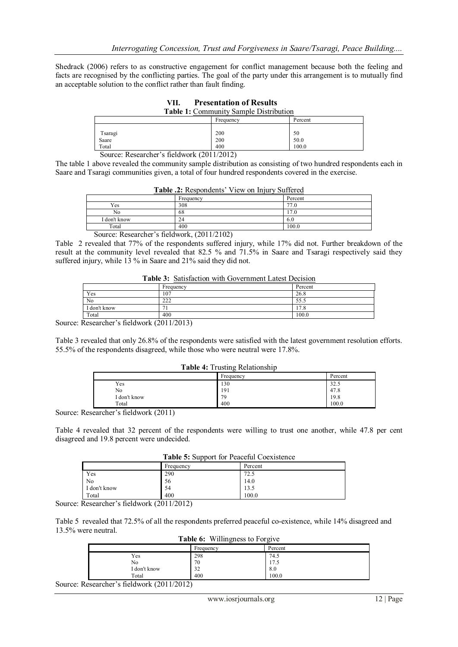Shedrack (2006) refers to as constructive engagement for conflict management because both the feeling and facts are recognised by the conflicting parties. The goal of the party under this arrangement is to mutually find an acceptable solution to the conflict rather than fault finding.

| <b>Table 1:</b> Community Sample Distribution |     |      |  |
|-----------------------------------------------|-----|------|--|
| Percent<br>Frequency                          |     |      |  |
| Tsaragi                                       | 200 | 50   |  |
| Saare                                         | 200 | 50.0 |  |
| 400<br>Total<br>100.0                         |     |      |  |
| Source: Researcher's fieldwork (2011/2012)    |     |      |  |

**VII. Presentation of Results**

The table 1 above revealed the community sample distribution as consisting of two hundred respondents each in Saare and Tsaragi communities given, a total of four hundred respondents covered in the exercise.

| <b>Table .2:</b> Respondents' View on Injury Suffered |           |         |
|-------------------------------------------------------|-----------|---------|
|                                                       | Frequency | Percent |
| Yes                                                   | 308       | 77.0    |
| No                                                    | 68        | 17.0    |
| I don't know                                          | 24        | 6.0     |
| Total                                                 | 400       | 100.0   |

| Table .2: Respondents' View on Injury Suffered |  |  |
|------------------------------------------------|--|--|
|                                                |  |  |

Source: Researcher"s fieldwork, (2011/2102)

Table 2 revealed that 77% of the respondents suffered injury, while 17% did not. Further breakdown of the result at the community level revealed that 82.5 % and 71.5% in Saare and Tsaragi respectively said they suffered injury, while 13 % in Saare and 21% said they did not.

| <b>Table 3:</b> Satisfaction with Government Latest Decision |           |         |
|--------------------------------------------------------------|-----------|---------|
|                                                              | Frequency | Percent |
| Yes                                                          | 107       | 26.8    |
| No                                                           | 222       | 55.5    |
| I don't know                                                 |           | .7.8    |
| Total                                                        | 400       | 100.0   |

**Table 3:** Satisfaction with Government Latest Decision

Source: Researcher's fieldwork (2011/2013)

Table 3 revealed that only 26.8% of the respondents were satisfied with the latest government resolution efforts. 55.5% of the respondents disagreed, while those who were neutral were 17.8%.

## **Table 4:** Trusting Relationship

|              | Frequency | Percent |
|--------------|-----------|---------|
| Yes          | 130       | 32.5    |
| No           | 191       | 47.8    |
| I don't know | 79        | 19.8    |
| Total        | 400       | 100.0   |

Source: Researcher"s fieldwork (2011)

Table 4 revealed that 32 percent of the respondents were willing to trust one another, while 47.8 per cent disagreed and 19.8 percent were undecided.

| <b>Table 5:</b> Support for Peaceful Coexistence |  |  |
|--------------------------------------------------|--|--|
|--------------------------------------------------|--|--|

|              | Frequency | Percent |  |
|--------------|-----------|---------|--|
| Yes          | 290       | 72.5    |  |
| No           | 56        | 14.0    |  |
| I don't know | 54        | 13.5    |  |
| Total        | 400       | 100.0   |  |

Source: Researcher"s fieldwork (2011/2012)

Table 5 revealed that 72.5% of all the respondents preferred peaceful co-existence, while 14% disagreed and 13.5% were neutral.

**Table 6:** Willingness to Forgive

|              | Ë             | . .                  |
|--------------|---------------|----------------------|
|              | Frequency     | Percent              |
| Yes          | 298           | 74.5                 |
| No           | 70            | $\mathbf{r}$<br>11.5 |
| I don't know | $\sim$<br>ے د | 8.0                  |
| Total        | 400           | 100.0                |

Source: Researcher"s fieldwork (2011/2012)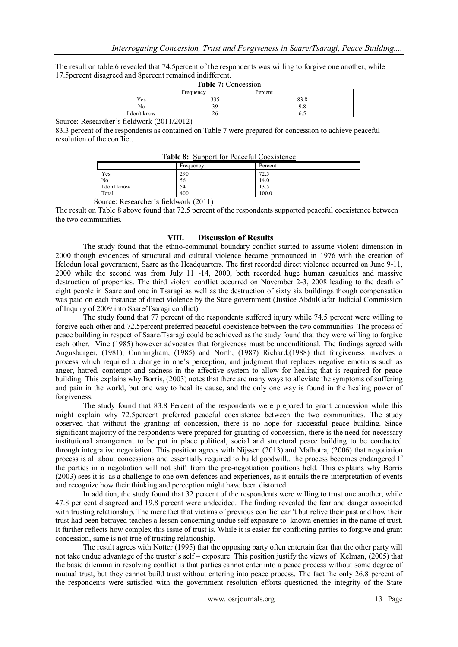The result on table.6 revealed that 74.5percent of the respondents was willing to forgive one another, while 17.5percent disagreed and 8percent remained indifferent.

| <b>Table 7: Concession</b>              |     |      |  |
|-----------------------------------------|-----|------|--|
| Percent<br>Frequency                    |     |      |  |
| Yes                                     | 335 | 83.8 |  |
| No                                      |     |      |  |
| I don't know                            |     |      |  |
| $h_0$ $\sim$ $h_0$ foldmark (2011/2012) |     |      |  |

Source: Researcher"s fieldwork (2011/2012)

83.3 percent of the respondents as contained on Table 7 were prepared for concession to achieve peaceful resolution of the conflict.

| <b>Table 8:</b> Support for Peaceful Coexistence |           |         |
|--------------------------------------------------|-----------|---------|
|                                                  | Frequency | Percent |
| Yes                                              | 290       | 72.5    |
| No                                               | 56        | 14.0    |
| I don't know                                     | 54        | 13.5    |
| Total                                            | 400       | 100.0   |

Source: Researcher"s fieldwork (2011)

The result on Table 8 above found that 72.5 percent of the respondents supported peaceful coexistence between the two communities.

## **VIII. Discussion of Results**

The study found that the ethno-communal boundary conflict started to assume violent dimension in 2000 though evidences of structural and cultural violence became pronounced in 1976 with the creation of Ifelodun local government, Saare as the Headquarters. The first recorded direct violence occurred on June 9-11, 2000 while the second was from July 11 -14, 2000, both recorded huge human casualties and massive destruction of properties. The third violent conflict occurred on November 2-3, 2008 leading to the death of eight people in Saare and one in Tsaragi as well as the destruction of sixty six buildings though compensation was paid on each instance of direct violence by the State government (Justice AbdulGafar Judicial Commission of Inquiry of 2009 into Saare/Tsaragi conflict).

The study found that 77 percent of the respondents suffered injury while 74.5 percent were willing to forgive each other and 72.5percent preferred peaceful coexistence between the two communities. The process of peace building in respect of Saare/Tsaragi could be achieved as the study found that they were willing to forgive each other. Vine (1985) however advocates that forgiveness must be unconditional. The findings agreed with Augusburger, (1981), Cunningham, (1985) and North, (1987) Richard,(1988) that forgiveness involves a process which required a change in one"s perception, and judgment that replaces negative emotions such as anger, hatred, contempt and sadness in the affective system to allow for healing that is required for peace building. This explains why Borris, (2003) notes that there are many ways to alleviate the symptoms of suffering and pain in the world, but one way to heal its cause, and the only one way is found in the healing power of forgiveness.

The study found that 83.8 Percent of the respondents were prepared to grant concession while this might explain why 72.5percent preferred peaceful coexistence between the two communities. The study observed that without the granting of concession, there is no hope for successful peace building. Since significant majority of the respondents were prepared for granting of concession, there is the need for necessary institutional arrangement to be put in place political, social and structural peace building to be conducted through integrative negotiation. This position agrees with Nijssen (2013) and Malhotra, (2006) that negotiation process is all about concessions and essentially required to build goodwill.. the process becomes endangered If the parties in a negotiation will not shift from the pre-negotiation positions held. This explains why Borris (2003) sees it is as a challenge to one own defences and experiences, as it entails the re-interpretation of events and recognize how their thinking and perception might have been distorted

In addition, the study found that 32 percent of the respondents were willing to trust one another, while 47.8 per cent disagreed and 19.8 percent were undecided. The finding revealed the fear and danger associated with trusting relationship. The mere fact that victims of previous conflict can't but relive their past and how their trust had been betrayed teaches a lesson concerning undue self exposure to known enemies in the name of trust. It further reflects how complex this issue of trust is. While it is easier for conflicting parties to forgive and grant concession, same is not true of trusting relationship.

The result agrees with Notter (1995) that the opposing party often entertain fear that the other party will not take undue advantage of the truster"s self – exposure. This position justify the views of Kelman, (2005) that the basic dilemma in resolving conflict is that parties cannot enter into a peace process without some degree of mutual trust, but they cannot build trust without entering into peace process. The fact the only 26.8 percent of the respondents were satisfied with the government resolution efforts questioned the integrity of the State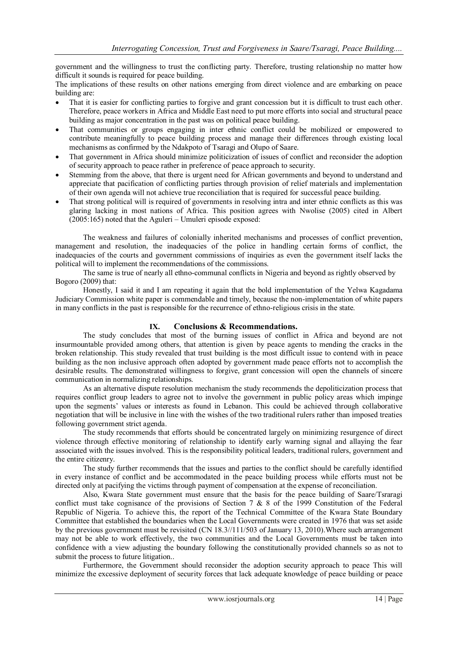government and the willingness to trust the conflicting party. Therefore, trusting relationship no matter how difficult it sounds is required for peace building.

The implications of these results on other nations emerging from direct violence and are embarking on peace building are:

- That it is easier for conflicting parties to forgive and grant concession but it is difficult to trust each other. Therefore, peace workers in Africa and Middle East need to put more efforts into social and structural peace building as major concentration in the past was on political peace building.
- That communities or groups engaging in inter ethnic conflict could be mobilized or empowered to contribute meaningfully to peace building process and manage their differences through existing local mechanisms as confirmed by the Ndakpoto of Tsaragi and Olupo of Saare.
- That government in Africa should minimize politicization of issues of conflict and reconsider the adoption of security approach to peace rather in preference of peace approach to security.
- Stemming from the above, that there is urgent need for African governments and beyond to understand and appreciate that pacification of conflicting parties through provision of relief materials and implementation of their own agenda will not achieve true reconciliation that is required for successful peace building.
- That strong political will is required of governments in resolving intra and inter ethnic conflicts as this was glaring lacking in most nations of Africa. This position agrees with Nwolise (2005) cited in Albert (2005:165) noted that the Aguleri – Umuleri episode exposed:

The weakness and failures of colonially inherited mechanisms and processes of conflict prevention, management and resolution, the inadequacies of the police in handling certain forms of conflict, the inadequacies of the courts and government commissions of inquiries as even the government itself lacks the political will to implement the recommendations of the commissions.

The same is true of nearly all ethno-communal conflicts in Nigeria and beyond as rightly observed by Bogoro (2009) that:

Honestly, I said it and I am repeating it again that the bold implementation of the Yelwa Kagadama Judiciary Commission white paper is commendable and timely, because the non-implementation of white papers in many conflicts in the past is responsible for the recurrence of ethno-religious crisis in the state.

# **IX. Conclusions & Recommendations.**

The study concludes that most of the burning issues of conflict in Africa and beyond are not insurmountable provided among others, that attention is given by peace agents to mending the cracks in the broken relationship. This study revealed that trust building is the most difficult issue to contend with in peace building as the non inclusive approach often adopted by government made peace efforts not to accomplish the desirable results. The demonstrated willingness to forgive, grant concession will open the channels of sincere communication in normalizing relationships.

As an alternative dispute resolution mechanism the study recommends the depoliticization process that requires conflict group leaders to agree not to involve the government in public policy areas which impinge upon the segments' values or interests as found in Lebanon. This could be achieved through collaborative negotiation that will be inclusive in line with the wishes of the two traditional rulers rather than imposed treaties following government strict agenda.

The study recommends that efforts should be concentrated largely on minimizing resurgence of direct violence through effective monitoring of relationship to identify early warning signal and allaying the fear associated with the issues involved. This is the responsibility political leaders, traditional rulers, government and the entire citizenry.

The study further recommends that the issues and parties to the conflict should be carefully identified in every instance of conflict and be accommodated in the peace building process while efforts must not be directed only at pacifying the victims through payment of compensation at the expense of reconciliation.

Also, Kwara State government must ensure that the basis for the peace building of Saare/Tsraragi conflict must take cognisance of the provisions of Section 7 & 8 of the 1999 Constitution of the Federal Republic of Nigeria. To achieve this, the report of the Technical Committee of the Kwara State Boundary Committee that established the boundaries when the Local Governments were created in 1976 that was set aside by the previous government must be revisited (CN 18.3//111/503 of January 13, 2010).Where such arrangement may not be able to work effectively, the two communities and the Local Governments must be taken into confidence with a view adjusting the boundary following the constitutionally provided channels so as not to submit the process to future litigation..

Furthermore, the Government should reconsider the adoption security approach to peace This will minimize the excessive deployment of security forces that lack adequate knowledge of peace building or peace